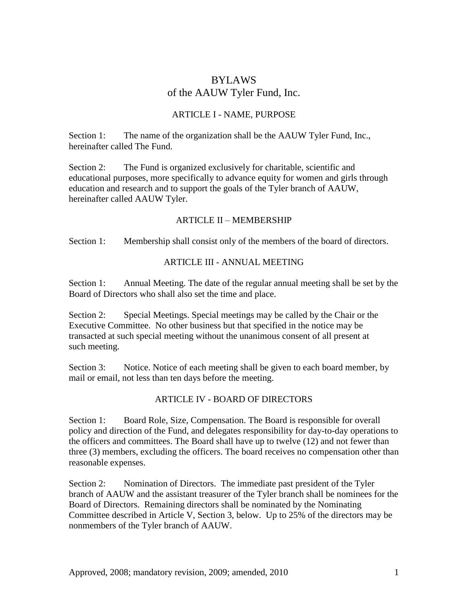# BYLAWS of the AAUW Tyler Fund, Inc.

### ARTICLE I - NAME, PURPOSE

Section 1: The name of the organization shall be the AAUW Tyler Fund, Inc., hereinafter called The Fund.

Section 2: The Fund is organized exclusively for charitable, scientific and educational purposes, more specifically to advance equity for women and girls through education and research and to support the goals of the Tyler branch of AAUW, hereinafter called AAUW Tyler.

#### ARTICLE II – MEMBERSHIP

Section 1: Membership shall consist only of the members of the board of directors.

#### ARTICLE III - ANNUAL MEETING

Section 1: Annual Meeting. The date of the regular annual meeting shall be set by the Board of Directors who shall also set the time and place.

Section 2: Special Meetings. Special meetings may be called by the Chair or the Executive Committee. No other business but that specified in the notice may be transacted at such special meeting without the unanimous consent of all present at such meeting.

Section 3: Notice. Notice of each meeting shall be given to each board member, by mail or email, not less than ten days before the meeting.

# ARTICLE IV - BOARD OF DIRECTORS

Section 1: Board Role, Size, Compensation. The Board is responsible for overall policy and direction of the Fund, and delegates responsibility for day-to-day operations to the officers and committees. The Board shall have up to twelve (12) and not fewer than three (3) members, excluding the officers. The board receives no compensation other than reasonable expenses.

Section 2: Nomination of Directors. The immediate past president of the Tyler branch of AAUW and the assistant treasurer of the Tyler branch shall be nominees for the Board of Directors. Remaining directors shall be nominated by the Nominating Committee described in Article V, Section 3, below. Up to 25% of the directors may be nonmembers of the Tyler branch of AAUW.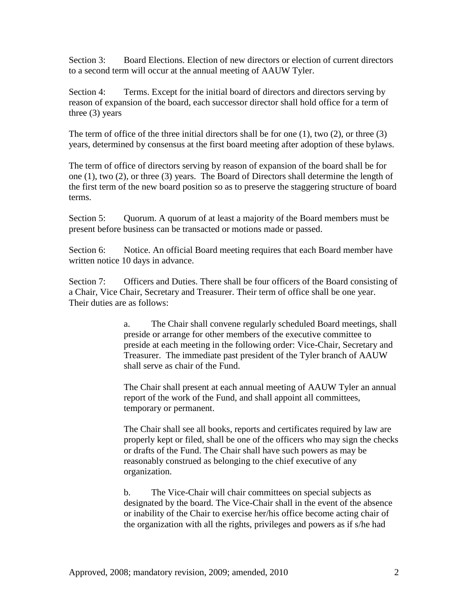Section 3: Board Elections. Election of new directors or election of current directors to a second term will occur at the annual meeting of AAUW Tyler.

Section 4: Terms. Except for the initial board of directors and directors serving by reason of expansion of the board, each successor director shall hold office for a term of three (3) years

The term of office of the three initial directors shall be for one  $(1)$ , two  $(2)$ , or three  $(3)$ years, determined by consensus at the first board meeting after adoption of these bylaws.

The term of office of directors serving by reason of expansion of the board shall be for one (1), two (2), or three (3) years. The Board of Directors shall determine the length of the first term of the new board position so as to preserve the staggering structure of board terms.

Section 5: Quorum. A quorum of at least a majority of the Board members must be present before business can be transacted or motions made or passed.

Section 6: Notice. An official Board meeting requires that each Board member have written notice 10 days in advance.

Section 7: Officers and Duties. There shall be four officers of the Board consisting of a Chair, Vice Chair, Secretary and Treasurer. Their term of office shall be one year. Their duties are as follows:

> a. The Chair shall convene regularly scheduled Board meetings, shall preside or arrange for other members of the executive committee to preside at each meeting in the following order: Vice-Chair, Secretary and Treasurer. The immediate past president of the Tyler branch of AAUW shall serve as chair of the Fund.

> The Chair shall present at each annual meeting of AAUW Tyler an annual report of the work of the Fund, and shall appoint all committees, temporary or permanent.

> The Chair shall see all books, reports and certificates required by law are properly kept or filed, shall be one of the officers who may sign the checks or drafts of the Fund. The Chair shall have such powers as may be reasonably construed as belonging to the chief executive of any organization.

b. The Vice-Chair will chair committees on special subjects as designated by the board. The Vice-Chair shall in the event of the absence or inability of the Chair to exercise her/his office become acting chair of the organization with all the rights, privileges and powers as if s/he had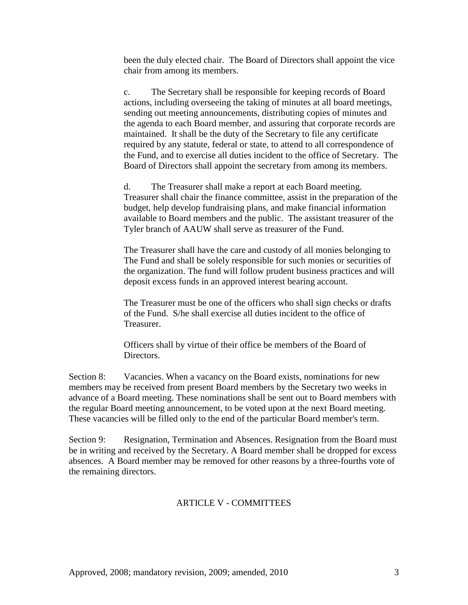been the duly elected chair. The Board of Directors shall appoint the vice chair from among its members.

c. The Secretary shall be responsible for keeping records of Board actions, including overseeing the taking of minutes at all board meetings, sending out meeting announcements, distributing copies of minutes and the agenda to each Board member, and assuring that corporate records are maintained. It shall be the duty of the Secretary to file any certificate required by any statute, federal or state, to attend to all correspondence of the Fund, and to exercise all duties incident to the office of Secretary. The Board of Directors shall appoint the secretary from among its members.

d. The Treasurer shall make a report at each Board meeting. Treasurer shall chair the finance committee, assist in the preparation of the budget, help develop fundraising plans, and make financial information available to Board members and the public. The assistant treasurer of the Tyler branch of AAUW shall serve as treasurer of the Fund.

The Treasurer shall have the care and custody of all monies belonging to The Fund and shall be solely responsible for such monies or securities of the organization. The fund will follow prudent business practices and will deposit excess funds in an approved interest bearing account.

The Treasurer must be one of the officers who shall sign checks or drafts of the Fund. S/he shall exercise all duties incident to the office of Treasurer.

Officers shall by virtue of their office be members of the Board of Directors.

Section 8: Vacancies. When a vacancy on the Board exists, nominations for new members may be received from present Board members by the Secretary two weeks in advance of a Board meeting. These nominations shall be sent out to Board members with the regular Board meeting announcement, to be voted upon at the next Board meeting. These vacancies will be filled only to the end of the particular Board member's term.

Section 9: Resignation, Termination and Absences. Resignation from the Board must be in writing and received by the Secretary. A Board member shall be dropped for excess absences. A Board member may be removed for other reasons by a three-fourths vote of the remaining directors.

# ARTICLE V - COMMITTEES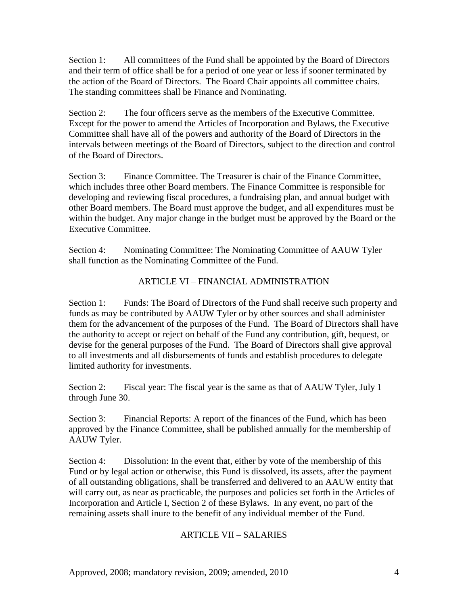Section 1: All committees of the Fund shall be appointed by the Board of Directors and their term of office shall be for a period of one year or less if sooner terminated by the action of the Board of Directors. The Board Chair appoints all committee chairs. The standing committees shall be Finance and Nominating.

Section 2: The four officers serve as the members of the Executive Committee. Except for the power to amend the Articles of Incorporation and Bylaws, the Executive Committee shall have all of the powers and authority of the Board of Directors in the intervals between meetings of the Board of Directors, subject to the direction and control of the Board of Directors.

Section 3: Finance Committee. The Treasurer is chair of the Finance Committee, which includes three other Board members. The Finance Committee is responsible for developing and reviewing fiscal procedures, a fundraising plan, and annual budget with other Board members. The Board must approve the budget, and all expenditures must be within the budget. Any major change in the budget must be approved by the Board or the Executive Committee.

Section 4: Nominating Committee: The Nominating Committee of AAUW Tyler shall function as the Nominating Committee of the Fund.

# ARTICLE VI – FINANCIAL ADMINISTRATION

Section 1: Funds: The Board of Directors of the Fund shall receive such property and funds as may be contributed by AAUW Tyler or by other sources and shall administer them for the advancement of the purposes of the Fund. The Board of Directors shall have the authority to accept or reject on behalf of the Fund any contribution, gift, bequest, or devise for the general purposes of the Fund. The Board of Directors shall give approval to all investments and all disbursements of funds and establish procedures to delegate limited authority for investments.

Section 2: Fiscal year: The fiscal year is the same as that of AAUW Tyler, July 1 through June 30.

Section 3: Financial Reports: A report of the finances of the Fund, which has been approved by the Finance Committee, shall be published annually for the membership of AAUW Tyler.

Section 4: Dissolution: In the event that, either by vote of the membership of this Fund or by legal action or otherwise, this Fund is dissolved, its assets, after the payment of all outstanding obligations, shall be transferred and delivered to an AAUW entity that will carry out, as near as practicable, the purposes and policies set forth in the Articles of Incorporation and Article I, Section 2 of these Bylaws. In any event, no part of the remaining assets shall inure to the benefit of any individual member of the Fund.

# ARTICLE VII – SALARIES